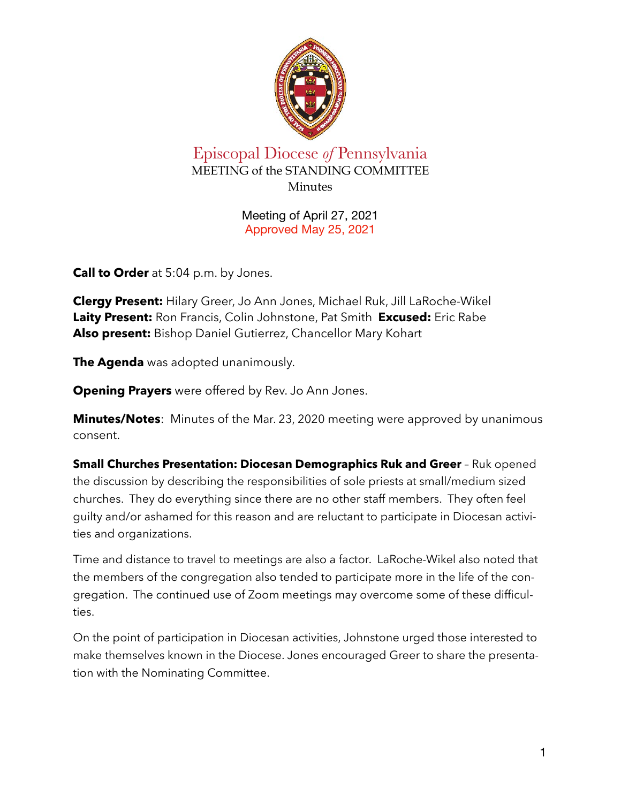

## Episcopal Diocese *of* Pennsylvania MEETING of the STANDING COMMITTEE **Minutes**

Meeting of April 27, 2021 Approved May 25, 2021

**Call to Order** at 5:04 p.m. by Jones.

**Clergy Present:** Hilary Greer, Jo Ann Jones, Michael Ruk, Jill LaRoche-Wikel **Laity Present:** Ron Francis, Colin Johnstone, Pat Smith **Excused:** Eric Rabe **Also present:** Bishop Daniel Gutierrez, Chancellor Mary Kohart

**The Agenda** was adopted unanimously.

**Opening Prayers** were offered by Rev. Jo Ann Jones.

**Minutes/Notes**: Minutes of the Mar. 23, 2020 meeting were approved by unanimous consent.

**Small Churches Presentation: Diocesan Demographics Ruk and Greer** - Ruk opened the discussion by describing the responsibilities of sole priests at small/medium sized churches. They do everything since there are no other staff members. They often feel guilty and/or ashamed for this reason and are reluctant to participate in Diocesan activities and organizations.

Time and distance to travel to meetings are also a factor. LaRoche-Wikel also noted that the members of the congregation also tended to participate more in the life of the congregation. The continued use of Zoom meetings may overcome some of these difficulties.

On the point of participation in Diocesan activities, Johnstone urged those interested to make themselves known in the Diocese. Jones encouraged Greer to share the presentation with the Nominating Committee.